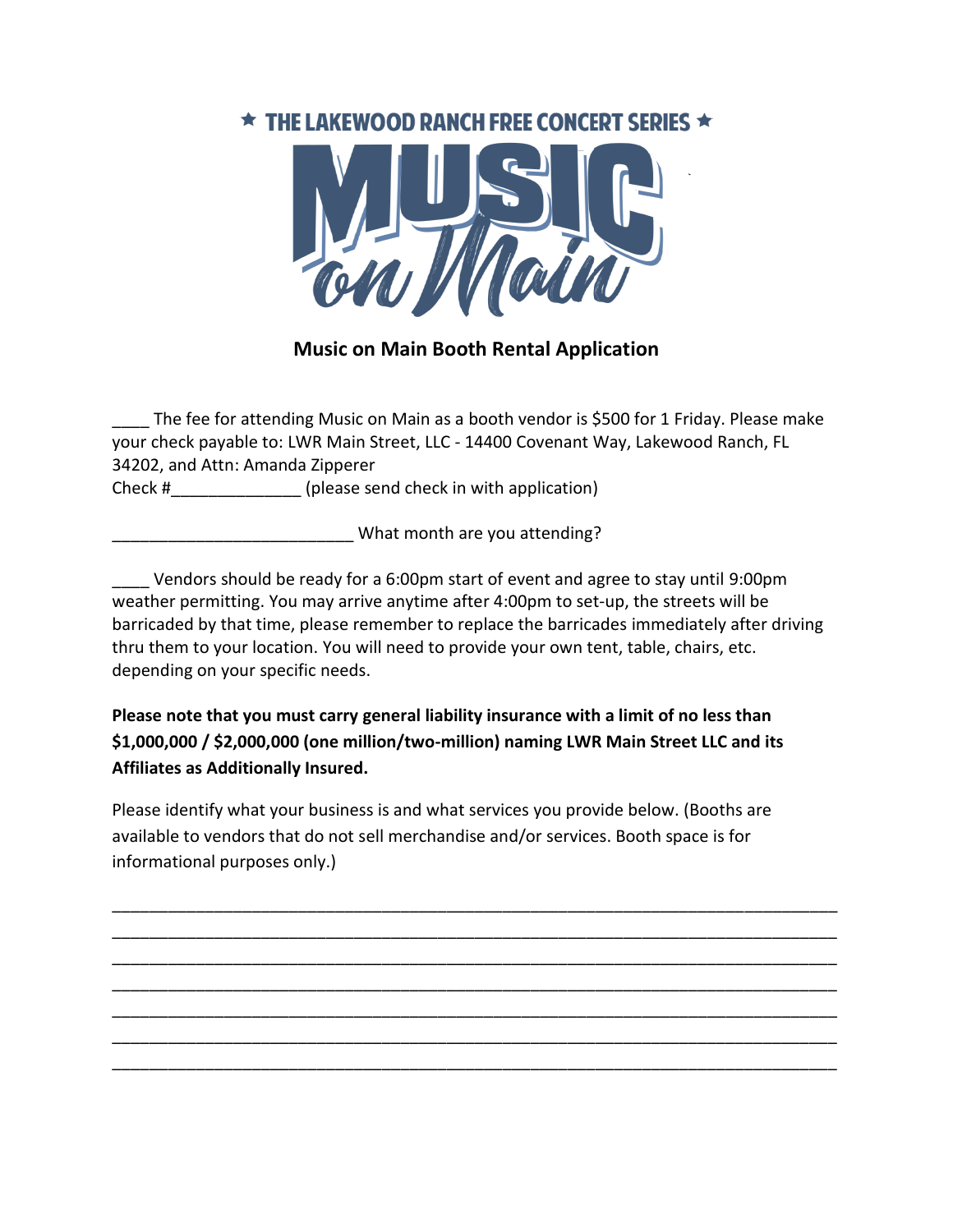## $\star$  THE LAKEWOOD RANCH FREE CONCERT SERIES  $\star$



## **Music on Main Booth Rental Application**

The fee for attending Music on Main as a booth vendor is \$500 for 1 Friday. Please make your check payable to: LWR Main Street, LLC - 14400 Covenant Way, Lakewood Ranch, FL 34202, and Attn: Amanda Zipperer Check #  $(please send check in with application)$ 

What month are you attending?

Vendors should be ready for a 6:00pm start of event and agree to stay until 9:00pm weather permitting. You may arrive anytime after 4:00pm to set-up, the streets will be barricaded by that time, please remember to replace the barricades immediately after driving thru them to your location. You will need to provide your own tent, table, chairs, etc. depending on your specific needs.

**Please note that you must carry general liability insurance with a limit of no less than \$1,000,000 / \$2,000,000 (one million/two-million) naming LWR Main Street LLC and its Affiliates as Additionally Insured.**

Please identify what your business is and what services you provide below. (Booths are available to vendors that do not sell merchandise and/or services. Booth space is for informational purposes only.)